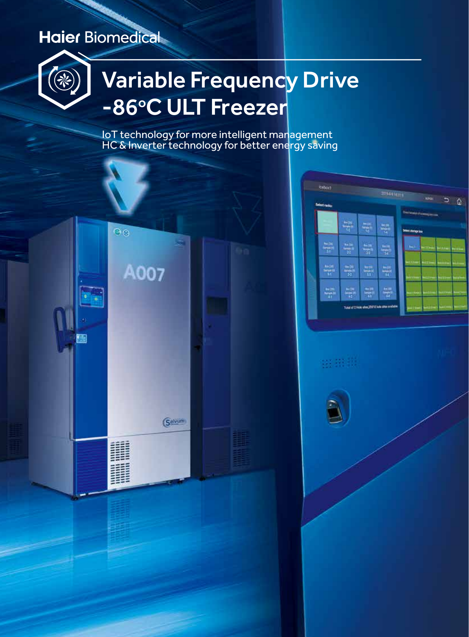### **Haier Biomedical**



# Variable Frequency Drive -86°C ULT Freezer

IoT technology for more intelligent management HC & Inverter technology for better energy saving



| <b>keton1</b>        |                | 2019-04-14 14:11 1<br>aka .<br>$\Box$<br>۵      |                                                                     |                                                                                       |
|----------------------|----------------|-------------------------------------------------|---------------------------------------------------------------------|---------------------------------------------------------------------------------------|
| <b>Select racks:</b> | ş              | <b>MISC</b><br>$\frac{4\pi\alpha_0}{4\sigma^2}$ | 북                                                                   | <b>Decision Companies</b><br>which stamps has                                         |
| 붂                    | $\frac{1}{22}$ | <b>Andre</b><br>क्र                             | <b>So (m)</b><br>٣Ì                                                 | <b>NU</b><br><b>CONNECTING</b> (INVESTIGATION                                         |
| $\frac{4\pi\mu}{M}$  | $\frac{1}{2}$  | 붂                                               | 뿦                                                                   | <b>USS COMPLE</b><br>ùл.<br><b>HERE</b><br>u۱<br><b>Allen</b><br><b>WE MAKER</b><br>œ |
|                      | 븦              | $\frac{1}{\alpha}$                              | <b>Ball</b><br>÷<br>Total of 2 Hole shee 20118 hole stres available | <b>LEX Policie</b><br>a i<br>est to the<br><b>SetUzine's NAV</b><br><b>Linear</b>     |

88.98.00

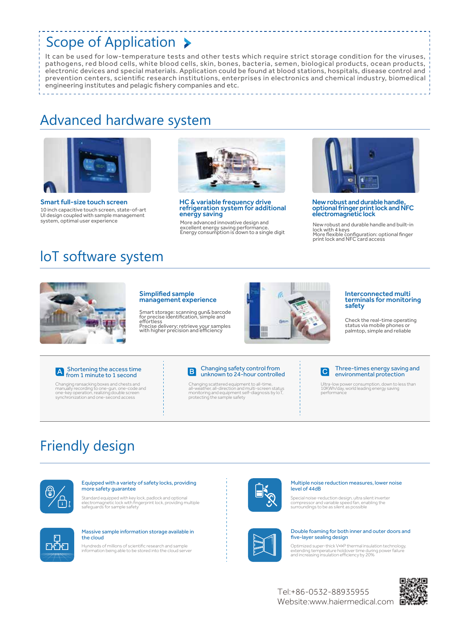### Scope of Application >

It can be used for low-temperature tests and other tests which require strict storage condition for the viruses, pathogens, red blood cells, white blood cells, skin, bones, bacteria, semen, biological products, ocean products, electronic devices and special materials. Application could be found at blood stations, hospitals, disease control and prevention centers, scientific research institutions, enterprises in electronics and chemical industry, biomedical engineering institutes and pelagic fishery companies and etc.

### Advanced hardware system



Smart full-size touch screen 10 inch capacitive touch screen, state-of-art UI design coupled with sample management system, optimal user experience



HC & variable frequency drive refrigeration system for additional energy saving

More advanced innovative design and excellent energy saving performance. Energy consumption is down to a single digit



New robust and durable handle, optional fringer print lock and NFC electromagnetic lock

New robust and durable handle and built-in lock with 4 keys More flexible configuration: optional finger print lock and NFC card access

### loT software system



#### Simplified sample management experience

Smart storage: scanning gun& barcode for precise identification, simple and effortless Precise delivery: retrieve your samples with higher precision and efficiency



#### Interconnected multi terminals for monitoring safety

Check the real-time operating status via mobile phones or palmtop, simple and reliable

### Shortening the access time from 1 minute to 1 second

Changing ransacking boxes and chests and manually recording to one-gun, one-code and one-key operation, realizing double screen synchronization and one-second access



Changing scattered equipment to all-time, all-weather, all-direction and multi-screen status monitoring and equipment self-diagnosis by IoT, protecting the sample safety



\_\_\_\_\_\_\_\_\_\_\_\_\_\_\_\_\_\_\_\_\_\_\_\_\_\_\_\_\_\_\_

#### Three-times energy saving and environmental protection

Ultra-low power consumption, down to less than 10KWh/day, world leading energy saving performance

### Friendly design



### Equipped with a variety of safety locks, providing more safety guarantee

Standard equipped with key lock, padlock and optional electromagnetic lock with fingerprint lock, providing multiple safeguards for sample safety



#### Multiple noise reduction measures, lower noise level of 44dB

Special noise-reduction design, ultra silent inverter compressor and variable speed fan, enabling the surroundings to be as silent as possible



#### Massive sample information storage available in the cloud

Hundreds of millions of scientific research and sample information being able to be stored into the cloud server



#### Double foaming for both inner and outer doors and five-layer sealing design

Optimized super-thick V•I•P thermal insulation technology, extending temperature holdover time during power failure and increasing insulation efficiency by 20%

Website:www.haiermedical.com Tel:+86-0532-88935955

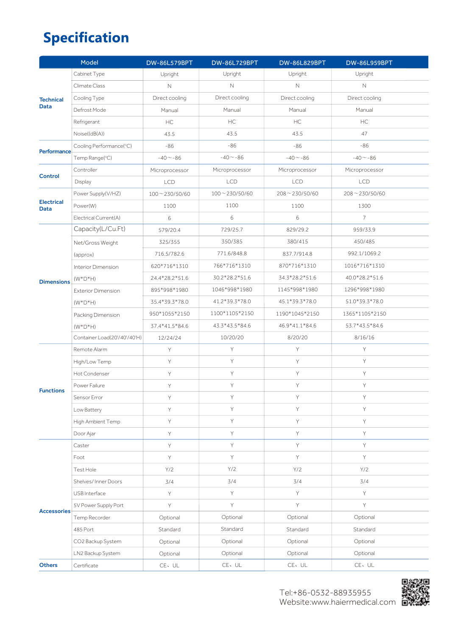## **Specification**

|                                  | Model                        | <b>DW-86L579BPT</b> | DW-86L729BPT      | <b>DW-86L829BPT</b>  | <b>DW-86L959BPT</b> |
|----------------------------------|------------------------------|---------------------|-------------------|----------------------|---------------------|
|                                  | Cabinet Type                 | Upright             | Upright           | Upright              | Upright             |
| <b>Technical</b>                 | Climate Class                | $\mathbb N$         | $\mathbb N$       | $\mathbb N$          | $\mathbb N$         |
|                                  | Cooling Type                 | Direct cooling      | Direct cooling    | Direct cooling       | Direct cooling      |
| <b>Data</b>                      | Defrost Mode                 | Manual              | Manual            | Manual               | Manual              |
|                                  | Refrigerant                  | HC                  | HC                | HC                   | HC                  |
|                                  | Noise((dB(A))                | 43.5                | 43.5              | 43.5                 | 47                  |
| Performance                      | Cooling Performance(°C)      | $-86$               | $-86$             | $-86$                | $-86$               |
|                                  | Temp Range(°C)               | $-40 - 86$          | $-40 - 86$        | $-40 - 86$           | $-40 - 86$          |
| <b>Control</b>                   | Controller                   | Microprocessor      | Microprocessor    | Microprocessor       | Microprocessor      |
|                                  | Display                      | LCD                 | <b>LCD</b>        | <b>LCD</b>           | LCD                 |
| <b>Electrical</b><br><b>Data</b> | Power Supply(V/HZ)           | $100 - 230/50/60$   | $100 - 230/50/60$ | $208 \sim 230/50/60$ | $208 - 230/50/60$   |
|                                  | Power(W)                     | 1100                | 1100              | 1100                 | 1300                |
|                                  | Electrical Current(A)        | $\,$ 6 $\,$         | 6                 | 6                    | $\overline{7}$      |
|                                  | Capacity(L/Cu.Ft)            | 579/20.4            | 729/25.7          | 829/29.2             | 959/33.9            |
|                                  | Net/Gross Weight             | 325/355             | 350/385           | 380/415              | 450/485             |
|                                  | (approx)                     | 716.5/782.6         | 771.6/848.8       | 837.7/914.8          | 992.1/1069.2        |
|                                  | Interior Dimension           | 620*716*1310        | 766*716*1310      | 870*716*1310         | 1016*716*1310       |
| <b>Dimensions</b>                | $(W^*D^*H)$                  | 24.4*28.2*51.6      | 30.2*28.2*51.6    | 34.3*28.2*51.6       | 40.0*28.2*51.6      |
|                                  | <b>Exterior Dimension</b>    | 895*998*1980        | 1046*998*1980     | 1145*998*1980        | 1296*998*1980       |
|                                  | $(W^*D^*H)$                  | 35.4*39.3*78.0      | 41.2*39.3*78.0    | 45.1*39.3*78.0       | 51.0*39.3*78.0      |
|                                  | Packing Dimension            | 950*1055*2150       | 1100*1105*2150    | 1190*1045*2150       | 1365*1105*2150      |
|                                  | $(W^*D^*H)$                  | 37.4*41.5*84.6      | 43.3*43.5*84.6    | 46.9*41.1*84.6       | 53.7*43.5*84.6      |
|                                  | Container Load(20'/40'/40'H) | 12/24/24            | 10/20/20          | 8/20/20              | 8/16/16             |
|                                  | Remote Alarm                 | Y                   | Y                 | Υ                    | Y                   |
|                                  | High/Low Temp                | Y                   | Y                 | Y                    | Y                   |
|                                  | Hot Condenser                | Y                   | Y                 | Y                    | Y                   |
| <b>Functions</b>                 | Power Failure                | Y                   | Y                 | Y                    | Y                   |
|                                  | Sensor Error                 | Y                   | Y                 | Y                    | Y                   |
|                                  | Low Battery                  | Y                   | Y                 | Y                    | Y                   |
|                                  | High Ambient Temp            | Y                   | Y.                | Y                    | Υ                   |
|                                  | Door Ajar                    | Y                   | Y                 | Y                    | Y                   |
|                                  | Caster                       | Y                   | Y.                | Y                    | Y                   |
|                                  | Foot                         | Y                   | Y                 | Y                    | Y                   |
|                                  | Test Hole                    | Y/2                 | Y/2               | Y/2                  | Y/2                 |
| <b>Accessories</b>               | Shelves/Inner Doors          | 3/4                 | 3/4               | 3/4                  | 3/4                 |
|                                  | USB Interface                | Y                   | Y                 | Y                    | Y                   |
|                                  | 5V Power Supply Port         | Y                   | Y                 | Y                    | Y                   |
|                                  | Temp Recorder                | Optional            | Optional          | Optional             | Optional            |
|                                  | 485 Port                     | Standard            | Standard          | Standard             | Standard            |
|                                  | CO2 Backup System            | Optional            | Optional          | Optional             | Optional            |
|                                  | LN2 Backup System            | Optional            | Optional          | Optional             | Optional            |
| <b>Others</b>                    | Certificate                  | $CE$ , $UL$         | CE, UL            | CE, UL               | CE, UL              |

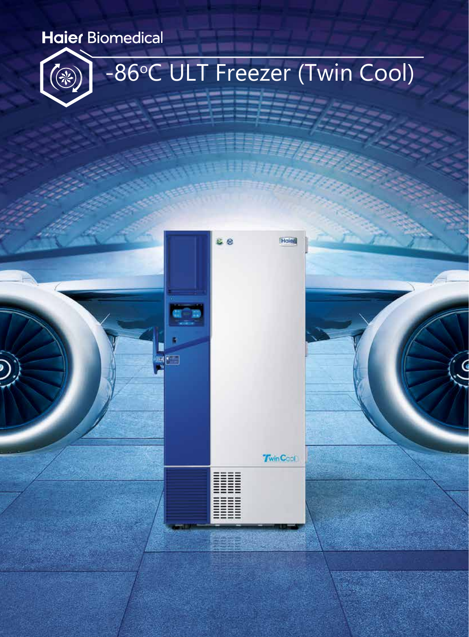## **Haier Biomedical**



# -86°C ULT Freezer (Twin Cool)

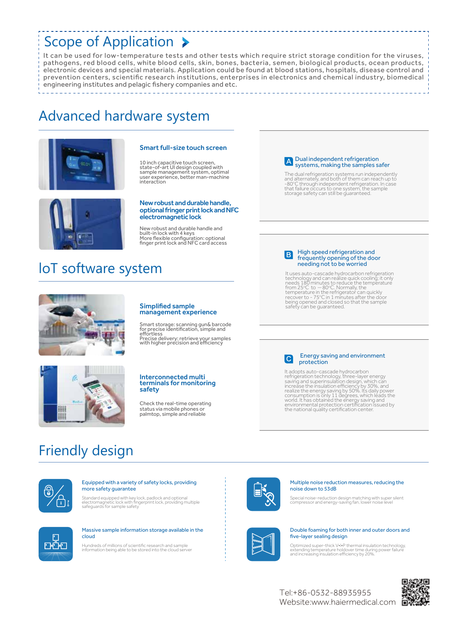### Scope of Application >

It can be used for low-temperature tests and other tests which require strict storage condition for the viruses, pathogens, red blood cells, white blood cells, skin, bones, bacteria, semen, biological products, ocean products, electronic devices and special materials. Application could be found at blood stations, hospitals, disease control and prevention centers, scientific research institutions, enterprises in electronics and chemical industry, biomedical engineering institutes and pelagic fishery companies and etc.

### Advanced hardware system



#### Smart full-size touch screen

10 inch capacitive touch screen, state-of-art UI design coupled with sample management system, optimal user experience, better man-machine interaction



#### New robust and durable handle, optional fringer print lock and NFC electromagnetic lock

New robust and durable handle and built-in lock with 4 keys More flexible configuration: optional finger print lock and NFC card access

### loT software system



## management experience

Simplified sample

Smart storage: scanning gun& barcode for precise identification, simple and effortless Precise delivery: retrieve your samples with higher precision and efficiency

#### Interconnected multi terminals for monitoring safety

Check the real-time operating status via mobile phones or palmtop, simple and reliable

### A Dual independent refrigeration systems, making the samples safer

\_\_\_\_\_\_\_\_\_\_\_\_\_\_\_\_\_\_\_\_\_\_\_\_\_\_\_\_\_\_\_

The dual refrigeration systems run independently<br>and alternately, and both of them can reach up to<br>-80°C through independent refrigeration. In case<br>that failure occurs to one system, the sample<br>storage safety can still be

#### B High speed refrigeration and frequently opening of the door needing not to be worried

It uses auto-cascade hydrocarbon refrigeration<br>technology and can realize quick cooling; it only<br>needs 180 minutes to reduce the temperature<br>from 25°C to --80°C. Normally, the<br>temperature in the refrigerator can quickly<br>re

#### Energy saving and environment protection

 $\left| \mathbf{c} \right|$ 

It adopts auto-cascade hydrocarbon<br>refrigeration technology, three-layer energy<br>saving and superinsulation design, which can<br>increase the insulation efficiency by 30%, and<br>recalize the energy saving by 50%. Its daily power

### Friendly design



ш Ш

### Equipped with a variety of safety locks, providing more safety guarantee

Standard equipped with key lock, padlock and optional electromagnetic lock with fingerprint lock, providing multiple safeguards for sample safety



#### Multiple noise reduction measures, reducing the noise down to 53dB

Special noise-reduction design matching with super silent compressor and energy-saving fan, lower noise level

#### Double foaming for both inner and outer doors and five-layer sealing design

Optimized super-thick V•I•P thermal insulation technology, extending temperature holdover time during power failure and increasing insulation efficiency by 20%.

Website:www.haiermedical.com Tel:+86-0532-88935955







Hundreds of millions of scientific research and sample information being able to be stored into the cloud server